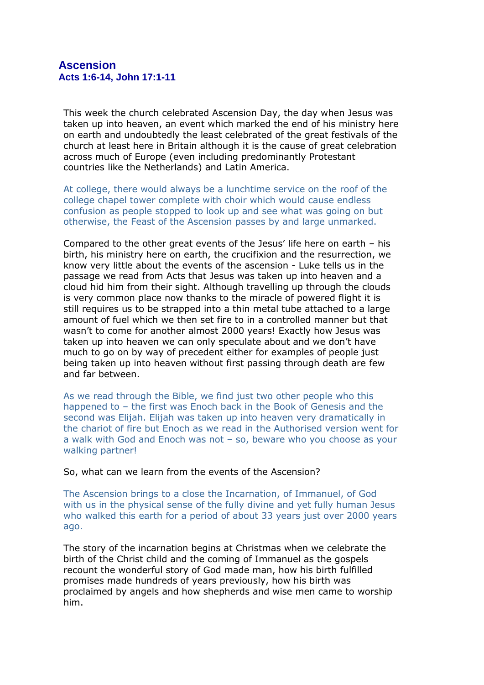## **Ascension Acts 1:6-14, John 17:1-11**

This week the church celebrated Ascension Day, the day when Jesus was taken up into heaven, an event which marked the end of his ministry here on earth and undoubtedly the least celebrated of the great festivals of the church at least here in Britain although it is the cause of great celebration across much of Europe (even including predominantly Protestant countries like the Netherlands) and Latin America.

At college, there would always be a lunchtime service on the roof of the college chapel tower complete with choir which would cause endless confusion as people stopped to look up and see what was going on but otherwise, the Feast of the Ascension passes by and large unmarked.

Compared to the other great events of the Jesus' life here on earth – his birth, his ministry here on earth, the crucifixion and the resurrection, we know very little about the events of the ascension - Luke tells us in the passage we read from Acts that Jesus was taken up into heaven and a cloud hid him from their sight. Although travelling up through the clouds is very common place now thanks to the miracle of powered flight it is still requires us to be strapped into a thin metal tube attached to a large amount of fuel which we then set fire to in a controlled manner but that wasn't to come for another almost 2000 years! Exactly how Jesus was taken up into heaven we can only speculate about and we don't have much to go on by way of precedent either for examples of people just being taken up into heaven without first passing through death are few and far between.

As we read through the Bible, we find just two other people who this happened to – the first was Enoch back in the Book of Genesis and the second was Elijah. Elijah was taken up into heaven very dramatically in the chariot of fire but Enoch as we read in the Authorised version went for a walk with God and Enoch was not – so, beware who you choose as your walking partner!

## So, what can we learn from the events of the Ascension?

The Ascension brings to a close the Incarnation, of Immanuel, of God with us in the physical sense of the fully divine and yet fully human Jesus who walked this earth for a period of about 33 years just over 2000 years ago.

The story of the incarnation begins at Christmas when we celebrate the birth of the Christ child and the coming of Immanuel as the gospels recount the wonderful story of God made man, how his birth fulfilled promises made hundreds of years previously, how his birth was proclaimed by angels and how shepherds and wise men came to worship him.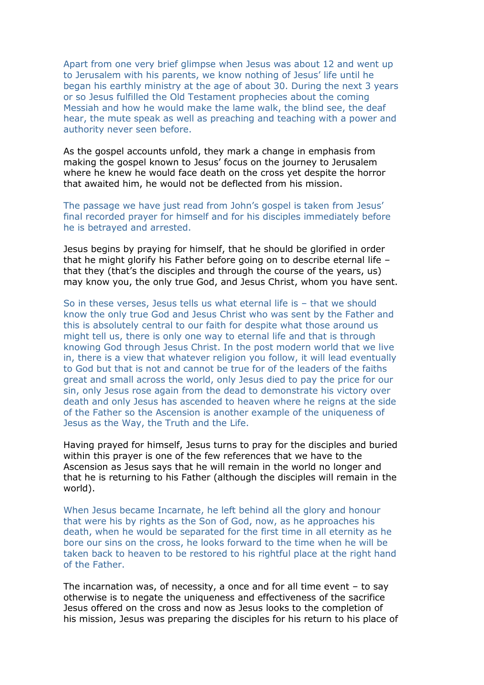Apart from one very brief glimpse when Jesus was about 12 and went up to Jerusalem with his parents, we know nothing of Jesus' life until he began his earthly ministry at the age of about 30. During the next 3 years or so Jesus fulfilled the Old Testament prophecies about the coming Messiah and how he would make the lame walk, the blind see, the deaf hear, the mute speak as well as preaching and teaching with a power and authority never seen before.

As the gospel accounts unfold, they mark a change in emphasis from making the gospel known to Jesus' focus on the journey to Jerusalem where he knew he would face death on the cross yet despite the horror that awaited him, he would not be deflected from his mission.

The passage we have just read from John's gospel is taken from Jesus' final recorded prayer for himself and for his disciples immediately before he is betrayed and arrested.

Jesus begins by praying for himself, that he should be glorified in order that he might glorify his Father before going on to describe eternal life – that they (that's the disciples and through the course of the years, us) may know you, the only true God, and Jesus Christ, whom you have sent.

So in these verses, Jesus tells us what eternal life is – that we should know the only true God and Jesus Christ who was sent by the Father and this is absolutely central to our faith for despite what those around us might tell us, there is only one way to eternal life and that is through knowing God through Jesus Christ. In the post modern world that we live in, there is a view that whatever religion you follow, it will lead eventually to God but that is not and cannot be true for of the leaders of the faiths great and small across the world, only Jesus died to pay the price for our sin, only Jesus rose again from the dead to demonstrate his victory over death and only Jesus has ascended to heaven where he reigns at the side of the Father so the Ascension is another example of the uniqueness of Jesus as the Way, the Truth and the Life.

Having prayed for himself, Jesus turns to pray for the disciples and buried within this prayer is one of the few references that we have to the Ascension as Jesus says that he will remain in the world no longer and that he is returning to his Father (although the disciples will remain in the world).

When Jesus became Incarnate, he left behind all the glory and honour that were his by rights as the Son of God, now, as he approaches his death, when he would be separated for the first time in all eternity as he bore our sins on the cross, he looks forward to the time when he will be taken back to heaven to be restored to his rightful place at the right hand of the Father.

The incarnation was, of necessity, a once and for all time event – to say otherwise is to negate the uniqueness and effectiveness of the sacrifice Jesus offered on the cross and now as Jesus looks to the completion of his mission, Jesus was preparing the disciples for his return to his place of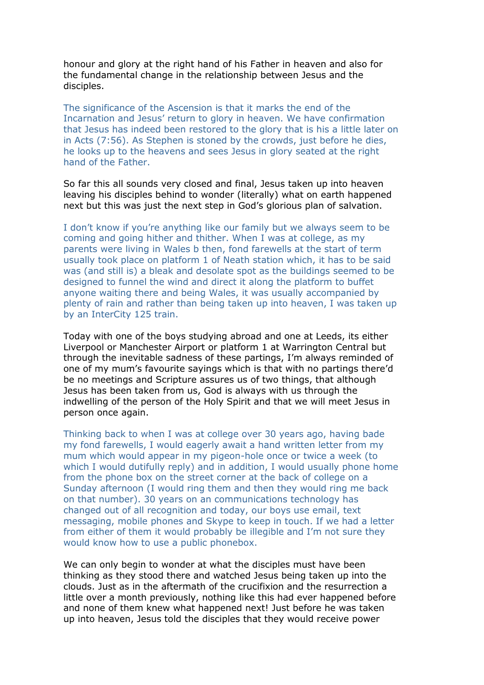honour and glory at the right hand of his Father in heaven and also for the fundamental change in the relationship between Jesus and the disciples.

The significance of the Ascension is that it marks the end of the Incarnation and Jesus' return to glory in heaven. We have confirmation that Jesus has indeed been restored to the glory that is his a little later on in Acts (7:56). As Stephen is stoned by the crowds, just before he dies, he looks up to the heavens and sees Jesus in glory seated at the right hand of the Father.

So far this all sounds very closed and final, Jesus taken up into heaven leaving his disciples behind to wonder (literally) what on earth happened next but this was just the next step in God's glorious plan of salvation.

I don't know if you're anything like our family but we always seem to be coming and going hither and thither. When I was at college, as my parents were living in Wales b then, fond farewells at the start of term usually took place on platform 1 of Neath station which, it has to be said was (and still is) a bleak and desolate spot as the buildings seemed to be designed to funnel the wind and direct it along the platform to buffet anyone waiting there and being Wales, it was usually accompanied by plenty of rain and rather than being taken up into heaven, I was taken up by an InterCity 125 train.

Today with one of the boys studying abroad and one at Leeds, its either Liverpool or Manchester Airport or platform 1 at Warrington Central but through the inevitable sadness of these partings, I'm always reminded of one of my mum's favourite sayings which is that with no partings there'd be no meetings and Scripture assures us of two things, that although Jesus has been taken from us, God is always with us through the indwelling of the person of the Holy Spirit and that we will meet Jesus in person once again.

Thinking back to when I was at college over 30 years ago, having bade my fond farewells, I would eagerly await a hand written letter from my mum which would appear in my pigeon-hole once or twice a week (to which I would dutifully reply) and in addition, I would usually phone home from the phone box on the street corner at the back of college on a Sunday afternoon (I would ring them and then they would ring me back on that number). 30 years on an communications technology has changed out of all recognition and today, our boys use email, text messaging, mobile phones and Skype to keep in touch. If we had a letter from either of them it would probably be illegible and I'm not sure they would know how to use a public phonebox.

We can only begin to wonder at what the disciples must have been thinking as they stood there and watched Jesus being taken up into the clouds. Just as in the aftermath of the crucifixion and the resurrection a little over a month previously, nothing like this had ever happened before and none of them knew what happened next! Just before he was taken up into heaven, Jesus told the disciples that they would receive power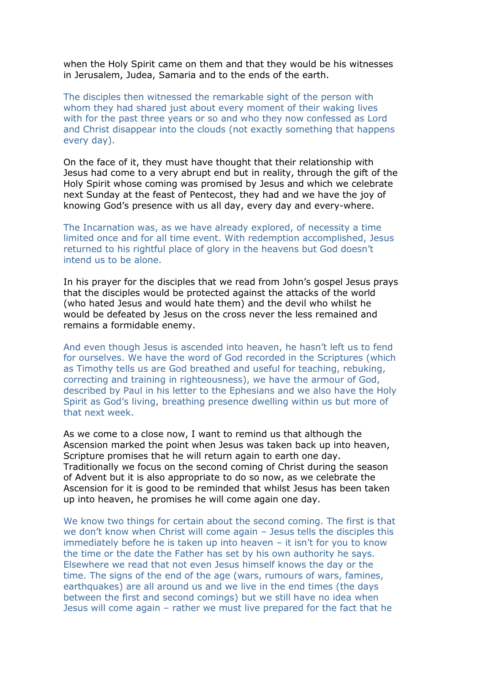when the Holy Spirit came on them and that they would be his witnesses in Jerusalem, Judea, Samaria and to the ends of the earth.

The disciples then witnessed the remarkable sight of the person with whom they had shared just about every moment of their waking lives with for the past three years or so and who they now confessed as Lord and Christ disappear into the clouds (not exactly something that happens every day).

On the face of it, they must have thought that their relationship with Jesus had come to a very abrupt end but in reality, through the gift of the Holy Spirit whose coming was promised by Jesus and which we celebrate next Sunday at the feast of Pentecost, they had and we have the joy of knowing God's presence with us all day, every day and every-where.

The Incarnation was, as we have already explored, of necessity a time limited once and for all time event. With redemption accomplished, Jesus returned to his rightful place of glory in the heavens but God doesn't intend us to be alone.

In his prayer for the disciples that we read from John's gospel Jesus prays that the disciples would be protected against the attacks of the world (who hated Jesus and would hate them) and the devil who whilst he would be defeated by Jesus on the cross never the less remained and remains a formidable enemy.

And even though Jesus is ascended into heaven, he hasn't left us to fend for ourselves. We have the word of God recorded in the Scriptures (which as Timothy tells us are God breathed and useful for teaching, rebuking, correcting and training in righteousness), we have the armour of God, described by Paul in his letter to the Ephesians and we also have the Holy Spirit as God's living, breathing presence dwelling within us but more of that next week.

As we come to a close now, I want to remind us that although the Ascension marked the point when Jesus was taken back up into heaven, Scripture promises that he will return again to earth one day. Traditionally we focus on the second coming of Christ during the season of Advent but it is also appropriate to do so now, as we celebrate the Ascension for it is good to be reminded that whilst Jesus has been taken up into heaven, he promises he will come again one day.

We know two things for certain about the second coming. The first is that we don't know when Christ will come again – Jesus tells the disciples this immediately before he is taken up into heaven – it isn't for you to know the time or the date the Father has set by his own authority he says. Elsewhere we read that not even Jesus himself knows the day or the time. The signs of the end of the age (wars, rumours of wars, famines, earthquakes) are all around us and we live in the end times (the days between the first and second comings) but we still have no idea when Jesus will come again – rather we must live prepared for the fact that he